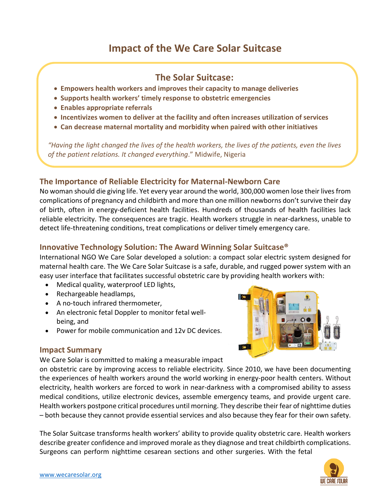# **Impact of the We Care Solar Suitcase**

# **The Solar Suitcase:**

- **Empowers health workers and improves their capacity to manage deliveries**
- **Supports health workers' timely response to obstetric emergencies**
- **Enables appropriate referrals**
- **Incentivizes women to deliver at the facility and often increases utilization of services**
- **Can decrease maternal mortality and morbidity when paired with other initiatives**

*"Having the light changed the lives of the health workers, the lives of the patients, even the lives of the patient relations. It changed everything*." Midwife, Nigeria

# **The Importance of Reliable Electricity for Maternal-Newborn Care**

No woman should die giving life. Yet every year around the world, 300,000 women lose their lives from complications of pregnancy and childbirth and more than one million newborns don't survive their day of birth, often in energy-deficient health facilities. Hundreds of thousands of health facilities lack reliable electricity. The consequences are tragic. Health workers struggle in near-darkness, unable to detect life-threatening conditions, treat complications or deliver timely emergency care.

# **Innovative Technology Solution: The Award Winning Solar Suitcase®**

International NGO We Care Solar developed a solution: a compact solar electric system designed for maternal health care. The We Care Solar Suitcase is a safe, durable, and rugged power system with an easy user interface that facilitates successful obstetric care by providing health workers with:

- Medical quality, waterproof LED lights,
- Rechargeable headlamps,
- A no-touch infrared thermometer,
- An electronic fetal Doppler to monitor fetal wellbeing, and
- Power for mobile communication and 12v DC devices.



#### **Impact Summary**

We Care Solar is committed to making a measurable impact

on obstetric care by improving access to reliable electricity. Since 2010, we have been documenting the experiences of health workers around the world working in energy-poor health centers. Without electricity, health workers are forced to work in near-darkness with a compromised ability to assess medical conditions, utilize electronic devices, assemble emergency teams, and provide urgent care. Health workers postpone critical procedures until morning. They describe their fear of nighttime duties – both because they cannot provide essential services and also because they fear for their own safety.

The Solar Suitcase transforms health workers' ability to provide quality obstetric care. Health workers describe greater confidence and improved morale as they diagnose and treat childbirth complications. Surgeons can perform nighttime cesarean sections and other surgeries. With the fetal

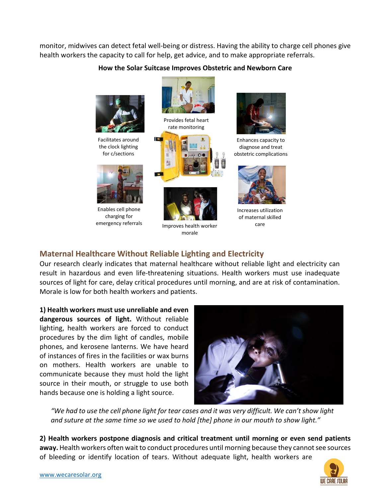monitor, midwives can detect fetal well-being or distress. Having the ability to charge cell phones give health workers the capacity to call for help, get advice, and to make appropriate referrals.

#### **How the Solar Suitcase Improves Obstetric and Newborn Care**



# **Maternal Healthcare Without Reliable Lighting and Electricity**

Our research clearly indicates that maternal healthcare without reliable light and electricity can result in hazardous and even life-threatening situations. Health workers must use inadequate sources of light for care, delay critical procedures until morning, and are at risk of contamination. Morale is low for both health workers and patients.

**1) Health workers must use unreliable and even dangerous sources of light.** Without reliable lighting, health workers are forced to conduct procedures by the dim light of candles, mobile phones, and kerosene lanterns. We have heard of instances of fires in the facilities or wax burns on mothers. Health workers are unable to communicate because they must hold the light source in their mouth, or struggle to use both hands because one is holding a light source.



*"We had to use the cell phone light for tear cases and it was very difficult. We can't show light and suture at the same time so we used to hold [the] phone in our mouth to show light."*

**2) Health workers postpone diagnosis and critical treatment until morning or even send patients away.** Health workers often wait to conduct procedures until morning because they cannot see sources of bleeding or identify location of tears. Without adequate light, health workers are

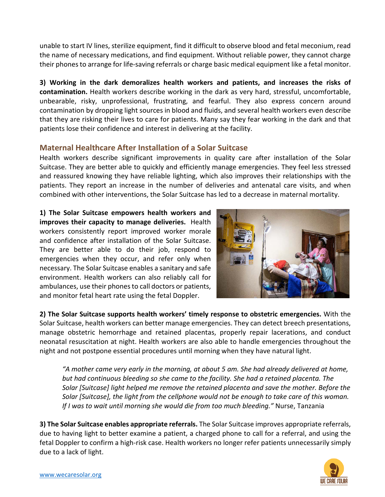unable to start IV lines, sterilize equipment, find it difficult to observe blood and fetal meconium, read the name of necessary medications, and find equipment. Without reliable power, they cannot charge their phones to arrange for life-saving referrals or charge basic medical equipment like a fetal monitor.

**3) Working in the dark demoralizes health workers and patients, and increases the risks of contamination.** Health workers describe working in the dark as very hard, stressful, uncomfortable, unbearable, risky, unprofessional, frustrating, and fearful. They also express concern around contamination by dropping light sources in blood and fluids, and several health workers even describe that they are risking their lives to care for patients. Many say they fear working in the dark and that patients lose their confidence and interest in delivering at the facility.

# **Maternal Healthcare After Installation of a Solar Suitcase**

Health workers describe significant improvements in quality care after installation of the Solar Suitcase. They are better able to quickly and efficiently manage emergencies. They feel less stressed and reassured knowing they have reliable lighting, which also improves their relationships with the patients. They report an increase in the number of deliveries and antenatal care visits, and when combined with other interventions, the Solar Suitcase has led to a decrease in maternal mortality.

**1) The Solar Suitcase empowers health workers and improves their capacity to manage deliveries.** Health workers consistently report improved worker morale and confidence after installation of the Solar Suitcase. They are better able to do their job, respond to emergencies when they occur, and refer only when necessary. The Solar Suitcase enables a sanitary and safe environment. Health workers can also reliably call for ambulances, use their phones to call doctors or patients, and monitor fetal heart rate using the fetal Doppler.



**2) The Solar Suitcase supports health workers' timely response to obstetric emergencies.** With the Solar Suitcase, health workers can better manage emergencies. They can detect breech presentations, manage obstetric hemorrhage and retained placentas, properly repair lacerations, and conduct neonatal resuscitation at night. Health workers are also able to handle emergencies throughout the night and not postpone essential procedures until morning when they have natural light.

*"A mother came very early in the morning, at about 5 am. She had already delivered at home, but had continuous bleeding so she came to the facility. She had a retained placenta. The Solar [Suitcase] light helped me remove the retained placenta and save the mother. Before the Solar [Suitcase], the light from the cellphone would not be enough to take care of this woman. If I was to wait until morning she would die from too much bleeding."* Nurse, Tanzania

**3) The Solar Suitcase enables appropriate referrals.** The Solar Suitcase improves appropriate referrals, due to having light to better examine a patient, a charged phone to call for a referral, and using the fetal Doppler to confirm a high-risk case. Health workers no longer refer patients unnecessarily simply due to a lack of light.